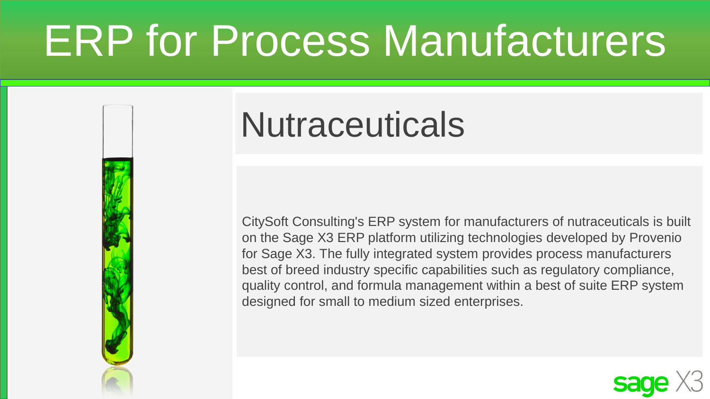# ERP for Process Manufacturers



## **Nutraceuticals**

CitySoft Consulting's ERP system for manufacturers of nutraceuticals is built on the Sage X3 ERP platform utilizing technologies developed by Provenio for Sage X3. The fully integrated system provides process manufacturers best of breed industry specific capabilities such as regulatory compliance, quality control, and formula management within a best of suite ERP system designed for small to medium sized enterprises.

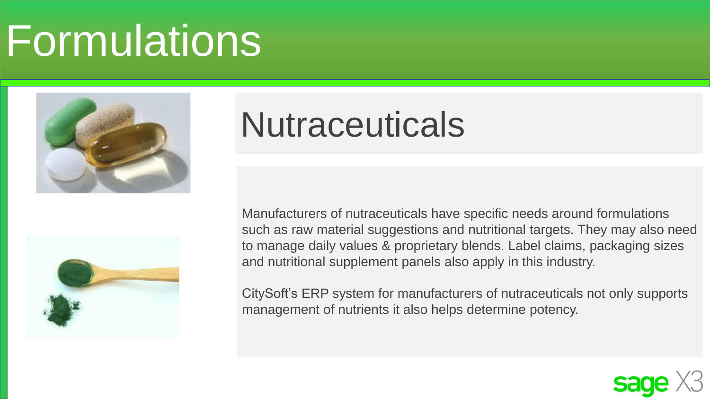## **Formulations**



## **Nutraceuticals**



Manufacturers of nutraceuticals have specific needs around formulations such as raw material suggestions and nutritional targets. They may also need to manage daily values & proprietary blends. Label claims, packaging sizes and nutritional supplement panels also apply in this industry.

CitySoft's ERP system for manufacturers of nutraceuticals not only supports management of nutrients it also helps determine potency.

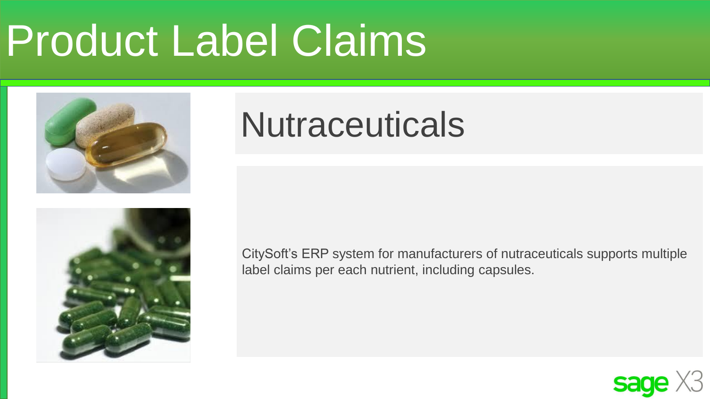## Product Label Claims



#### **Nutraceuticals**

CitySoft's ERP system for manufacturers of nutraceuticals supports multiple label claims per each nutrient, including capsules.

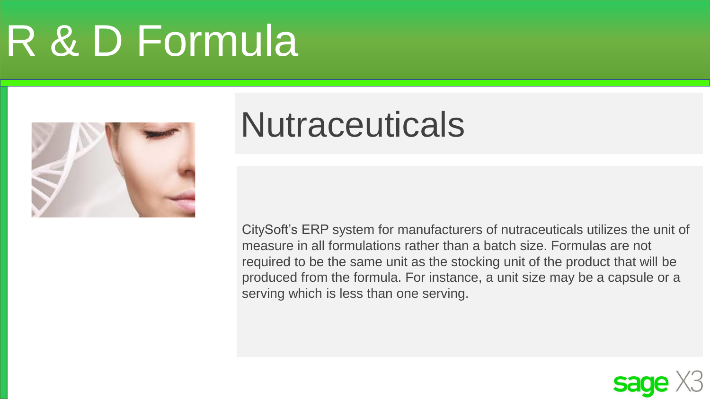# R & D Formula



## **Nutraceuticals**

CitySoft's ERP system for manufacturers of nutraceuticals utilizes the unit of measure in all formulations rather than a batch size. Formulas are not required to be the same unit as the stocking unit of the product that will be produced from the formula. For instance, a unit size may be a capsule or a serving which is less than one serving.

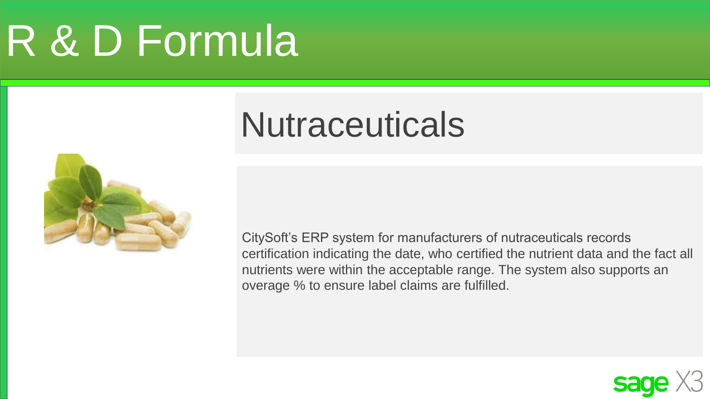# R & D Formula

## **Nutraceuticals**



CitySoft's ERP system for manufacturers of nutraceuticals records certification indicating the date, who certified the nutrient data and the fact all nutrients were within the acceptable range. The system also supports an overage % to ensure label claims are fulfilled.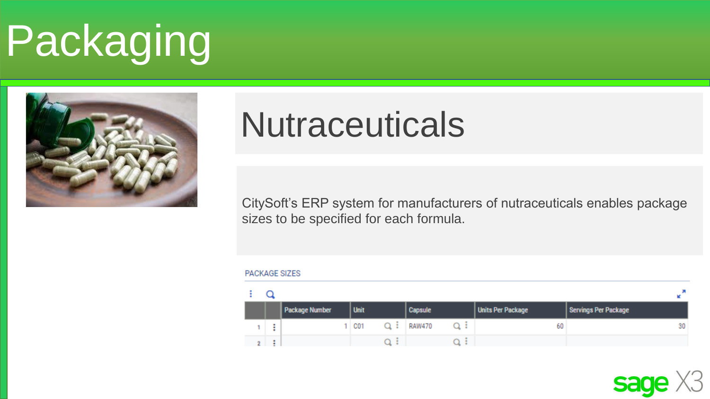# Packaging



### **Nutraceuticals**

CitySoft's ERP system for manufacturers of nutraceuticals enables package sizes to be specified for each formula.

#### **PACKAGE SIZES**

|  | Package Number | <b>Unit</b> |  | Capsule       |  | <b>Units Per Package</b> | Servings Per Package |
|--|----------------|-------------|--|---------------|--|--------------------------|----------------------|
|  |                | CO1         |  | <b>RAW470</b> |  | 60                       | 30                   |
|  |                |             |  |               |  |                          |                      |